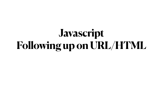# **Javascript Following up on URL/HTML**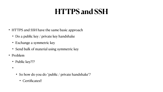#### **HTTPS and SSH**

- HTTPS and SSH have the same basic approach
	- Do a public key / private key handshake
	- Exchange a symmetric key
	- Send bulk of material using symmetric key
- Problem
	- Public key???
	- $\bullet$  (imagine every site in the work giving every user the work giving every user their public key).
		- So how do you do "public / private handshake"?
			- Certificates!!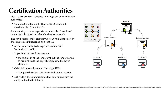#### **Certification Authorities**

- Idea -- every browser is shipped knowing a set of "certification" authorities"
	- Comodo SSL, RapidSSL, Thawte SSL, Sectigo SSL, GeoTrust SSL, Symantec SSL
- A site wanting to serve pages via https installs a "certificate" that is digitally signed in a chain leading to a root CA
- The certificate is sent to site user who can validate the cert by checking to see if it is signed by a root CA.
	- So the root CA list is the equivalent of the SSH "authorized\_keys" file
	- Unpacking the certificate gets you
		- the public key of the sender without the sender having to pre-distribute the key OR simply send the key in clear text.
	- Other info about the sender (the origin URL)
		- Compare the origin URL in cert with actual location
	- NOTE: this does not guarantee that I am talking with the entity I intend to be talking.

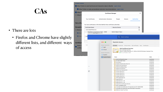#### **CAs**

- There are lots
	- Firefox and Chrome have slightly different lists, and different ways of access

| $\times$<br><b>Certificate Manager</b> |                                                                           |                                                                                                                                                                                                                                                                                                                                                                                                                                                        |   |
|----------------------------------------|---------------------------------------------------------------------------|--------------------------------------------------------------------------------------------------------------------------------------------------------------------------------------------------------------------------------------------------------------------------------------------------------------------------------------------------------------------------------------------------------------------------------------------------------|---|
| <b>Your Certificates</b>               | <b>Authentication Decisions</b>                                           | <b>Authorities</b><br>People<br><b>Servers</b>                                                                                                                                                                                                                                                                                                                                                                                                         |   |
|                                        | You have certificates on file that identify these certificate authorities |                                                                                                                                                                                                                                                                                                                                                                                                                                                        |   |
| <b>Certificate Name</b>                |                                                                           | <b>Security Device</b>                                                                                                                                                                                                                                                                                                                                                                                                                                 | 閃 |
| $\vee$ AC Camerfirma S.A.              |                                                                           |                                                                                                                                                                                                                                                                                                                                                                                                                                                        |   |
| chrome://settings/security             | Chambers of Commerce Root - 2008                                          | <b>Builtin Object Token</b>                                                                                                                                                                                                                                                                                                                                                                                                                            |   |
| $\sim$ AC                              |                                                                           | Q<br>Search settings                                                                                                                                                                                                                                                                                                                                                                                                                                   |   |
|                                        | $\bullet\bullet\bullet$                                                   | <b>Keychain Access</b>                                                                                                                                                                                                                                                                                                                                                                                                                                 |   |
| Vic                                    | <b>Default Keychains</b>                                                  | All Items<br>Passwords<br>Secure Notes My Certificates Keys Certificates                                                                                                                                                                                                                                                                                                                                                                               |   |
|                                        | d login<br>© iCloud<br><b>System Keychains</b><br><b>A</b> System         | <b>AAA Certificate Services</b><br>Certificate<br>Root certificate authority<br>Root<br>S.<br>Expires: Sunday, December 31, 2028 at 6:59:59 PM Eastern Standard Tin<br>This certificate is valid                                                                                                                                                                                                                                                       |   |
|                                        | System Roots                                                              | Name                                                                                                                                                                                                                                                                                                                                                                                                                                                   |   |
| ▼<br>☑                                 |                                                                           | <b>AAA Certificate Services</b><br>AC RAIZ FNMT-RCM<br><b>ACCVRAIZ1</b><br><b>Actalis Authentication Root CA</b><br>AffirmTrust Commercial<br>AffirmTrust Networking<br>AffirmTrust Premium<br>AffirmTrust Premium ECC<br>Amazon Root CA 1<br>Amazon Root CA 2<br>Amazon Root CA 3<br>Amazon Root CA 4<br>ANF Global Root CA<br>Apple Root CA<br>Apple Root CA - G2<br>Apple Root CA - G3<br>Apple Root Certificate Authority<br>Atos TrustedRoot 2011 |   |

| ıte |  |  |
|-----|--|--|
| ıte |  |  |
| ıte |  |  |
| ıte |  |  |
| ıte |  |  |
| ıte |  |  |
| ıte |  |  |
| ıte |  |  |
| ıte |  |  |
| ıte |  |  |
| ıte |  |  |
| ıte |  |  |
| ıte |  |  |
| ıte |  |  |
| ıte |  |  |
| ıte |  |  |
| ıte |  |  |
| ıte |  |  |
| ıte |  |  |
| ıte |  |  |
| ıte |  |  |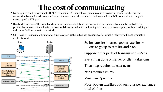## **The cost of communicating**

connection is established, compared to just the one roundtrip required (blue) to establish a TCP connection to the plain

- Latency increase by switching to HTTPS : the initial SSL handshake (green) requires two (extra) roundtrips before the unencrypted HTTP port..
- well. (max 6-7% increase in bandwidth).
- cypher is used.



• Bandwidth Increase : The used bandwidth will increase slightly as the header size will increase by a number of bytes for protocol reasons and the effective payload will decrease a due to the framing overhead, and some ciphers will use padding as

> So for satellite internet  $300km$  satellites  $=$  2ms to go up to satellite and back Suppose other parts of transmission = 26ms Everything done on server or client takes 0ms Then http requires at least 112 ms https requires 224ms Minimum 1/4 second Note: 600km satellites add only 2ms per exchange total of 16ms



• CPU Load : The most computational expensive part is the public key exchange, after which a relatively efficient symmetric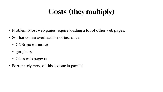# **Costs (they multiply)**

- Problem: Most web pages require loading a lot of other web pages.
- So that comm overhead is not just once
	- CNN: 316 (or more)
	- google: 23
	- Class web page: 12
- Fortunately most of this is done in parallel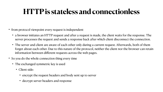#### **HTTP is stateless and connectionless**

• a browser initiates an HTTP request and after a request is made, the client waits for the response. The server processes the request and sends a response back after which client disconnect the connection.

• The server and client are aware of each other only during a current request. Afterwards, both of them forget about each other. Due to this nature of the protocol, neither the client nor the browser can retain



- from protocol viewpoint every request is independent
	-
	- information between different requests across the web pages.
- So you do the whole connection thing every time
	- The exchanged symmetric key is used
		- Client side:
			- encrypt the request headers and body sent up to server
			- decrypt server headers and response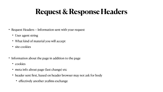## **Request & Response Headers**

- Request Headers -- Information sent with your request
	- User agent string
	- What kind of material you will accept
	- site cookies
- Information about the page in addition to the page
	- cookies
	- meta info about page (last change) etc
	- header sent first, based on header browser may not ask for body
		- effectively another 2x28ms exchange